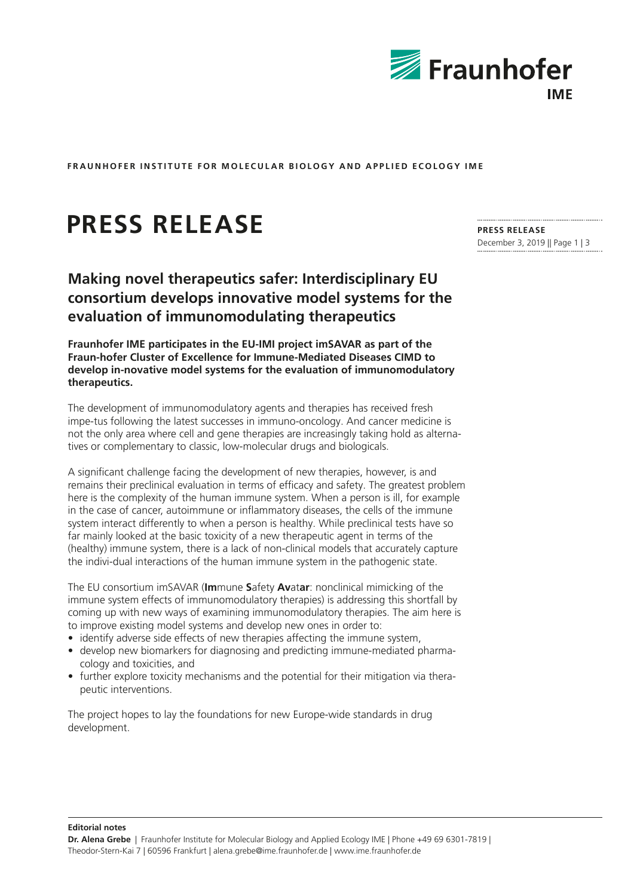

**FRAUNHOFER INSTITUTE FOR MOLECULAR BIOLOGY AND APPLIED ECOLOGY IME**

## **PRESS RELEASE**

**Making novel therapeutics safer: Interdisciplinary EU consortium develops innovative model systems for the evaluation of immunomodulating therapeutics**

**Fraunhofer IME participates in the EU-IMI project imSAVAR as part of the Fraun-hofer Cluster of Excellence for Immune-Mediated Diseases CIMD to develop in-novative model systems for the evaluation of immunomodulatory therapeutics.**

The development of immunomodulatory agents and therapies has received fresh impe-tus following the latest successes in immuno-oncology. And cancer medicine is not the only area where cell and gene therapies are increasingly taking hold as alternatives or complementary to classic, low-molecular drugs and biologicals.

A significant challenge facing the development of new therapies, however, is and remains their preclinical evaluation in terms of efficacy and safety. The greatest problem here is the complexity of the human immune system. When a person is ill, for example in the case of cancer, autoimmune or inflammatory diseases, the cells of the immune system interact differently to when a person is healthy. While preclinical tests have so far mainly looked at the basic toxicity of a new therapeutic agent in terms of the (healthy) immune system, there is a lack of non-clinical models that accurately capture the indivi-dual interactions of the human immune system in the pathogenic state.

The EU consortium imSAVAR (**Im**mune **S**afety **Av**at**ar**: nonclinical mimicking of the immune system effects of immunomodulatory therapies) is addressing this shortfall by coming up with new ways of examining immunomodulatory therapies. The aim here is to improve existing model systems and develop new ones in order to:

- identify adverse side effects of new therapies affecting the immune system,
- develop new biomarkers for diagnosing and predicting immune-mediated pharmacology and toxicities, and
- further explore toxicity mechanisms and the potential for their mitigation via therapeutic interventions.

The project hopes to lay the foundations for new Europe-wide standards in drug development.

**PRESS RELEASE**  December 3, 2019 || Page 1 | 3

**Editorial notes**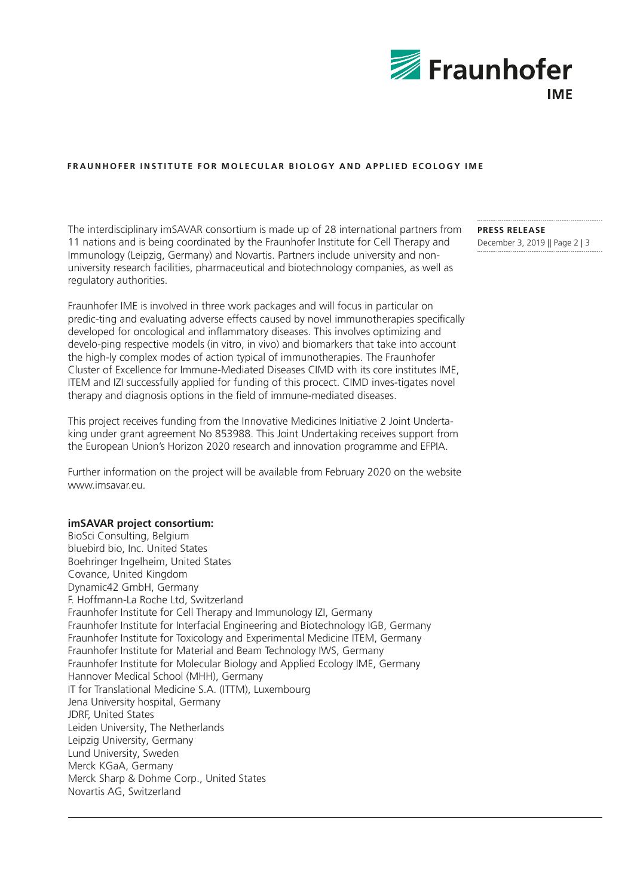

## **FRAUNHOFER INSTITUTE FOR MOLECULAR BIOLOGY AND APPLIED ECOLOGY IME**

The interdisciplinary imSAVAR consortium is made up of 28 international partners from 11 nations and is being coordinated by the Fraunhofer Institute for Cell Therapy and Immunology (Leipzig, Germany) and Novartis. Partners include university and nonuniversity research facilities, pharmaceutical and biotechnology companies, as well as regulatory authorities.

Fraunhofer IME is involved in three work packages and will focus in particular on predic-ting and evaluating adverse effects caused by novel immunotherapies specifically developed for oncological and inflammatory diseases. This involves optimizing and develo-ping respective models (in vitro, in vivo) and biomarkers that take into account the high-ly complex modes of action typical of immunotherapies. The Fraunhofer Cluster of Excellence for Immune-Mediated Diseases CIMD with its core institutes IME, ITEM and IZI successfully applied for funding of this procect. CIMD inves-tigates novel therapy and diagnosis options in the field of immune-mediated diseases.

This project receives funding from the Innovative Medicines Initiative 2 Joint Undertaking under grant agreement No 853988. This Joint Undertaking receives support from the European Union's Horizon 2020 research and innovation programme and EFPIA.

Further information on the project will be available from February 2020 on the website www.imsavar.eu.

## **imSAVAR project consortium:**

BioSci Consulting, Belgium bluebird bio, Inc. United States Boehringer Ingelheim, United States Covance, United Kingdom Dynamic42 GmbH, Germany F. Hoffmann-La Roche Ltd, Switzerland Fraunhofer Institute for Cell Therapy and Immunology IZI, Germany Fraunhofer Institute for Interfacial Engineering and Biotechnology IGB, Germany Fraunhofer Institute for Toxicology and Experimental Medicine ITEM, Germany Fraunhofer Institute for Material and Beam Technology IWS, Germany Fraunhofer Institute for Molecular Biology and Applied Ecology IME, Germany Hannover Medical School (MHH), Germany IT for Translational Medicine S.A. (ITTM), Luxembourg Jena University hospital, Germany JDRF, United States Leiden University, The Netherlands Leipzig University, Germany Lund University, Sweden Merck KGaA, Germany Merck Sharp & Dohme Corp., United States Novartis AG, Switzerland

**PRESS RELEASE**  December 3, 2019 || Page 2 | 3